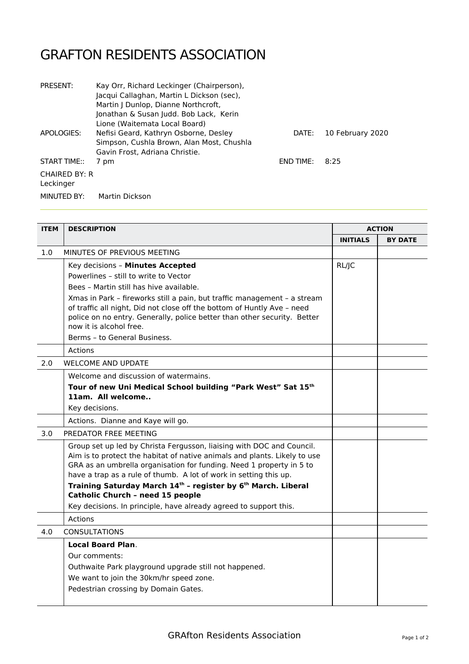## GRAFTON RESIDENTS ASSOCIATION

| <b>PRESENT:</b>      | Kay Orr, Richard Leckinger (Chairperson), |                  |                  |
|----------------------|-------------------------------------------|------------------|------------------|
|                      | Jacqui Callaghan, Martin L Dickson (sec), |                  |                  |
|                      | Martin J Dunlop, Dianne Northcroft,       |                  |                  |
|                      | Jonathan & Susan Judd. Bob Lack, Kerin    |                  |                  |
|                      | Lione (Waitemata Local Board)             |                  |                  |
| APOLOGIES:           | Nefisi Geard, Kathryn Osborne, Desley     | DATE:            | 10 February 2020 |
|                      | Simpson, Cushla Brown, Alan Most, Chushla |                  |                  |
|                      | Gavin Frost, Adriana Christie.            |                  |                  |
| <b>START TIME::</b>  | 7 pm                                      | <b>END TIME:</b> | 8:25             |
| <b>CHAIRED BY: R</b> |                                           |                  |                  |
| Leckinger            |                                           |                  |                  |
| MINUTED BY:          | Martin Dickson                            |                  |                  |

| <b>ITEM</b> | <b>DESCRIPTION</b>                                                                                                                                                                                                                                                                              | <b>ACTION</b>   |                |
|-------------|-------------------------------------------------------------------------------------------------------------------------------------------------------------------------------------------------------------------------------------------------------------------------------------------------|-----------------|----------------|
|             |                                                                                                                                                                                                                                                                                                 | <b>INITIALS</b> | <b>BY DATE</b> |
| 1.0         | MINUTES OF PREVIOUS MEETING                                                                                                                                                                                                                                                                     |                 |                |
|             | Key decisions - Minutes Accepted                                                                                                                                                                                                                                                                | RL/JC           |                |
|             | Powerlines - still to write to Vector                                                                                                                                                                                                                                                           |                 |                |
|             | Bees - Martin still has hive available.                                                                                                                                                                                                                                                         |                 |                |
|             | Xmas in Park - fireworks still a pain, but traffic management - a stream<br>of traffic all night, Did not close off the bottom of Huntly Ave - need<br>police on no entry. Generally, police better than other security. Better<br>now it is alcohol free.                                      |                 |                |
|             | Berms - to General Business.                                                                                                                                                                                                                                                                    |                 |                |
|             | Actions                                                                                                                                                                                                                                                                                         |                 |                |
| 2.0         | <b>WELCOME AND UPDATE</b>                                                                                                                                                                                                                                                                       |                 |                |
|             | Welcome and discussion of watermains.                                                                                                                                                                                                                                                           |                 |                |
|             | Tour of new Uni Medical School building "Park West" Sat 15th<br>11am. All welcome                                                                                                                                                                                                               |                 |                |
|             | Key decisions.                                                                                                                                                                                                                                                                                  |                 |                |
|             | Actions. Dianne and Kaye will go.                                                                                                                                                                                                                                                               |                 |                |
| 3.0         | PREDATOR FREE MEETING                                                                                                                                                                                                                                                                           |                 |                |
|             | Group set up led by Christa Fergusson, liaising with DOC and Council.<br>Aim is to protect the habitat of native animals and plants. Likely to use<br>GRA as an umbrella organisation for funding. Need 1 property in 5 to<br>have a trap as a rule of thumb. A lot of work in setting this up. |                 |                |
|             | Training Saturday March 14th - register by 6 <sup>th</sup> March. Liberal<br>Catholic Church - need 15 people                                                                                                                                                                                   |                 |                |
|             | Key decisions. In principle, have already agreed to support this.                                                                                                                                                                                                                               |                 |                |
|             | Actions                                                                                                                                                                                                                                                                                         |                 |                |
| 4.0         | <b>CONSULTATIONS</b>                                                                                                                                                                                                                                                                            |                 |                |
|             | <b>Local Board Plan.</b>                                                                                                                                                                                                                                                                        |                 |                |
|             | Our comments:                                                                                                                                                                                                                                                                                   |                 |                |
|             | Outhwaite Park playground upgrade still not happened.                                                                                                                                                                                                                                           |                 |                |
|             | We want to join the 30km/hr speed zone.                                                                                                                                                                                                                                                         |                 |                |
|             | Pedestrian crossing by Domain Gates.                                                                                                                                                                                                                                                            |                 |                |
|             |                                                                                                                                                                                                                                                                                                 |                 |                |